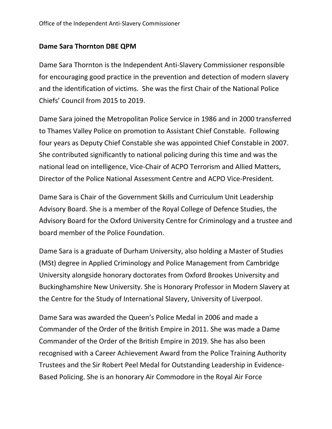## **Dame Sara Thornton DBE QPM**

Dame Sara Thornton is the Independent Anti-Slavery Commissioner responsible for encouraging good practice in the prevention and detection of modern slavery and the identification of victims. She was the first Chair of the National Police Chiefs' Council from 2015 to 2019.

Dame Sara joined the Metropolitan Police Service in 1986 and in 2000 transferred to Thames Valley Police on promotion to Assistant Chief Constable. Following four years as Deputy Chief Constable she was appointed Chief Constable in 2007. She contributed significantly to national policing during this time and was the national lead on intelligence, Vice-Chair of ACPO Terrorism and Allied Matters, Director of the Police National Assessment Centre and ACPO Vice-President.

Dame Sara is Chair of the Government Skills and Curriculum Unit Leadership Advisory Board. She is a member of the Royal College of Defence Studies, the Advisory Board for the Oxford University Centre for Criminology and a trustee and board member of the Police Foundation.

Dame Sara is a graduate of Durham University, also holding a Master of Studies (MSt) degree in Applied Criminology and Police Management from Cambridge University alongside honorary doctorates from Oxford Brookes University and Buckinghamshire New University. She is Honorary Professor in Modern Slavery at the Centre for the Study of International Slavery, University of Liverpool.

Dame Sara was awarded the Queen's Police Medal in 2006 and made a Commander of the Order of the British Empire in 2011. She was made a Dame Commander of the Order of the British Empire in 2019. She has also been recognised with a Career Achievement Award from the Police Training Authority Trustees and the Sir Robert Peel Medal for Outstanding Leadership in Evidence-Based Policing. She is an honorary Air Commodore in the Royal Air Force